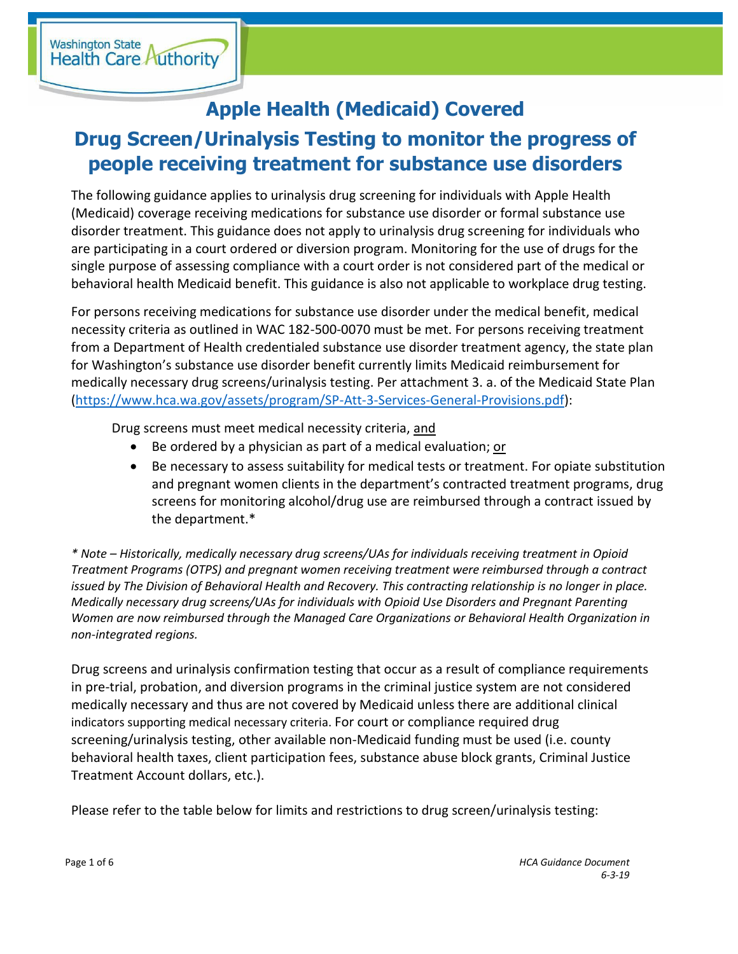Washington State<br>Health Care Authority

## **Apple Health (Medicaid) Covered**

## **Drug Screen/Urinalysis Testing to monitor the progress of people receiving treatment for substance use disorders**

The following guidance applies to urinalysis drug screening for individuals with Apple Health (Medicaid) coverage receiving medications for substance use disorder or formal substance use disorder treatment. This guidance does not apply to urinalysis drug screening for individuals who are participating in a court ordered or diversion program. Monitoring for the use of drugs for the single purpose of assessing compliance with a court order is not considered part of the medical or behavioral health Medicaid benefit. This guidance is also not applicable to workplace drug testing.

For persons receiving medications for substance use disorder under the medical benefit, medical necessity criteria as outlined in WAC 182-500-0070 must be met. For persons receiving treatment from a Department of Health credentialed substance use disorder treatment agency, the state plan for Washington's substance use disorder benefit currently limits Medicaid reimbursement for medically necessary drug screens/urinalysis testing. Per attachment 3. a. of the Medicaid State Plan [\(https://www.hca.wa.gov/assets/program/SP-Att-3-Services-General-Provisions.pdf\)](https://www.hca.wa.gov/assets/program/SP-Att-3-Services-General-Provisions.pdf):

Drug screens must meet medical necessity criteria, and

- Be ordered by a physician as part of a medical evaluation; or
- Be necessary to assess suitability for medical tests or treatment. For opiate substitution and pregnant women clients in the department's contracted treatment programs, drug screens for monitoring alcohol/drug use are reimbursed through a contract issued by the department.\*

*\* Note – Historically, medically necessary drug screens/UAs for individuals receiving treatment in Opioid Treatment Programs (OTPS) and pregnant women receiving treatment were reimbursed through a contract issued by The Division of Behavioral Health and Recovery. This contracting relationship is no longer in place. Medically necessary drug screens/UAs for individuals with Opioid Use Disorders and Pregnant Parenting Women are now reimbursed through the Managed Care Organizations or Behavioral Health Organization in non-integrated regions.*

Drug screens and urinalysis confirmation testing that occur as a result of compliance requirements in pre-trial, probation, and diversion programs in the criminal justice system are not considered medically necessary and thus are not covered by Medicaid unless there are additional clinical indicators supporting medical necessary criteria. For court or compliance required drug screening/urinalysis testing, other available non-Medicaid funding must be used (i.e. county behavioral health taxes, client participation fees, substance abuse block grants, Criminal Justice Treatment Account dollars, etc.).

Please refer to the table below for limits and restrictions to drug screen/urinalysis testing: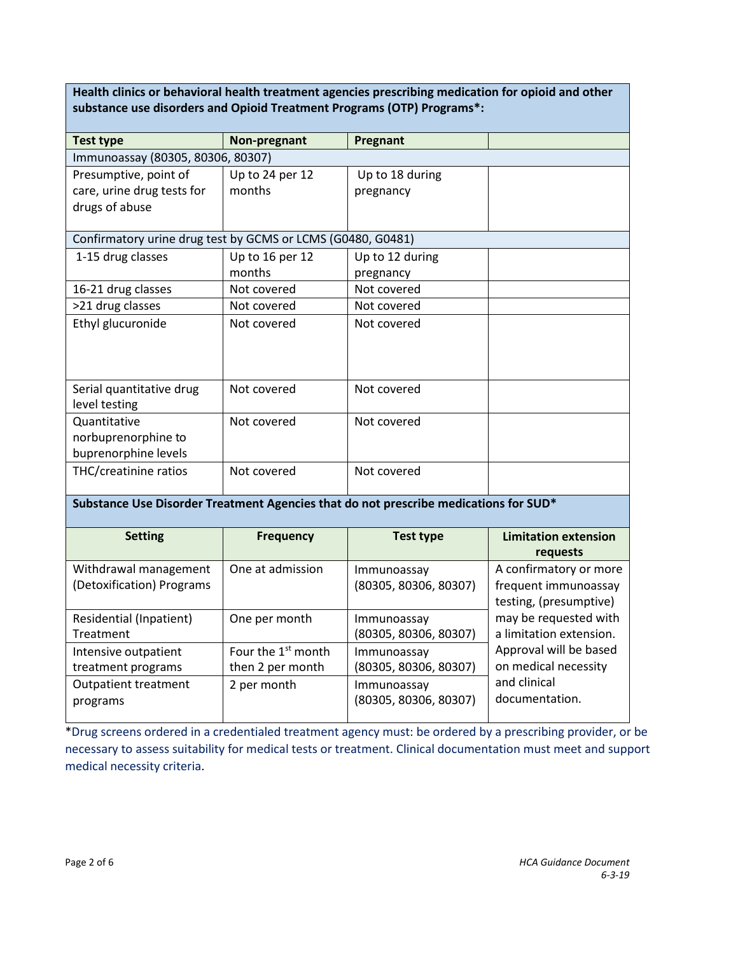**Health clinics or behavioral health treatment agencies prescribing medication for opioid and other substance use disorders and Opioid Treatment Programs (OTP) Programs\*:**

| <b>Test type</b>                                                                     | Non-pregnant                                       | Pregnant                             |                                                                          |
|--------------------------------------------------------------------------------------|----------------------------------------------------|--------------------------------------|--------------------------------------------------------------------------|
| Immunoassay (80305, 80306, 80307)                                                    |                                                    |                                      |                                                                          |
| Presumptive, point of<br>care, urine drug tests for<br>drugs of abuse                | Up to 24 per 12<br>months                          | Up to 18 during<br>pregnancy         |                                                                          |
| Confirmatory urine drug test by GCMS or LCMS (G0480, G0481)                          |                                                    |                                      |                                                                          |
| 1-15 drug classes                                                                    | Up to 16 per 12<br>months                          | Up to 12 during<br>pregnancy         |                                                                          |
| 16-21 drug classes                                                                   | Not covered                                        | Not covered                          |                                                                          |
| >21 drug classes                                                                     | Not covered                                        | Not covered                          |                                                                          |
| Ethyl glucuronide                                                                    | Not covered                                        | Not covered                          |                                                                          |
| Serial quantitative drug<br>level testing                                            | Not covered                                        | Not covered                          |                                                                          |
| Quantitative<br>norbuprenorphine to<br>buprenorphine levels                          | Not covered                                        | Not covered                          |                                                                          |
| THC/creatinine ratios                                                                | Not covered                                        | Not covered                          |                                                                          |
| Substance Use Disorder Treatment Agencies that do not prescribe medications for SUD* |                                                    |                                      |                                                                          |
| <b>Setting</b>                                                                       | <b>Frequency</b>                                   | <b>Test type</b>                     | <b>Limitation extension</b><br>requests                                  |
| Withdrawal management<br>(Detoxification) Programs                                   | One at admission                                   | Immunoassay<br>(80305, 80306, 80307) | A confirmatory or more<br>frequent immunoassay<br>testing, (presumptive) |
| <b>Residential (Inpatient)</b><br>Treatment                                          | One per month                                      | Immunoassay<br>(80305, 80306, 80307) | may be requested with<br>a limitation extension.                         |
| Intensive outpatient<br>treatment programs                                           | Four the 1 <sup>st</sup> month<br>then 2 per month | Immunoassay<br>(80305, 80306, 80307) | Approval will be based<br>on medical necessity                           |
| <b>Outpatient treatment</b><br>programs                                              | 2 per month                                        | Immunoassay<br>(80305, 80306, 80307) | and clinical<br>documentation.                                           |

\*Drug screens ordered in a credentialed treatment agency must: be ordered by a prescribing provider, or be necessary to assess suitability for medical tests or treatment. Clinical documentation must meet and support medical necessity criteria.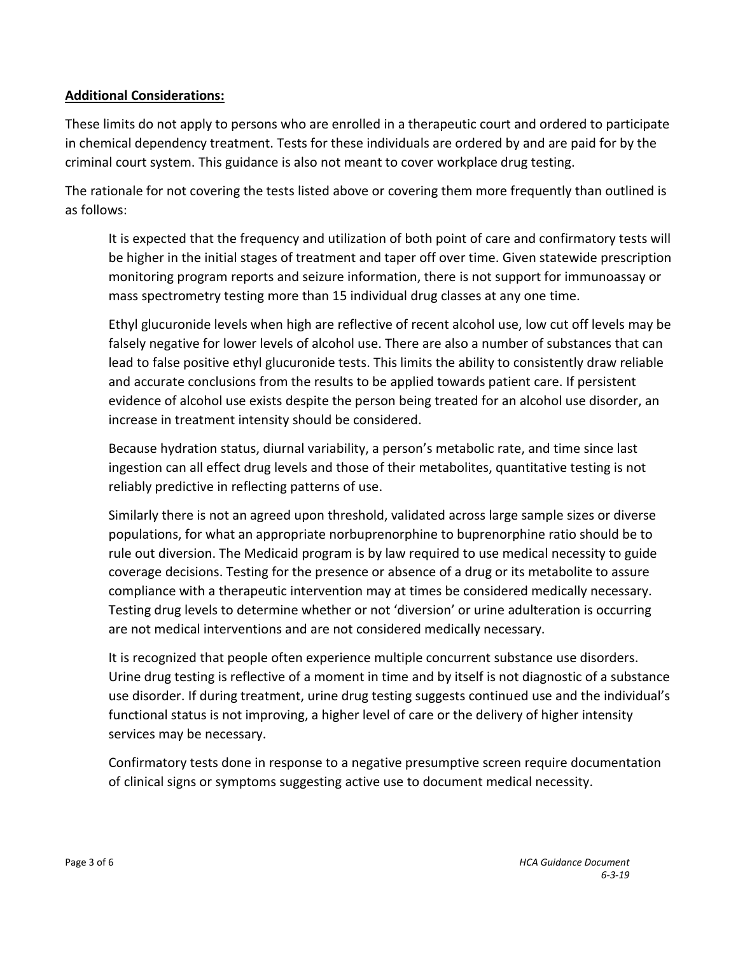## **Additional Considerations:**

These limits do not apply to persons who are enrolled in a therapeutic court and ordered to participate in chemical dependency treatment. Tests for these individuals are ordered by and are paid for by the criminal court system. This guidance is also not meant to cover workplace drug testing.

The rationale for not covering the tests listed above or covering them more frequently than outlined is as follows:

It is expected that the frequency and utilization of both point of care and confirmatory tests will be higher in the initial stages of treatment and taper off over time. Given statewide prescription monitoring program reports and seizure information, there is not support for immunoassay or mass spectrometry testing more than 15 individual drug classes at any one time.

Ethyl glucuronide levels when high are reflective of recent alcohol use, low cut off levels may be falsely negative for lower levels of alcohol use. There are also a number of substances that can lead to false positive ethyl glucuronide tests. This limits the ability to consistently draw reliable and accurate conclusions from the results to be applied towards patient care. If persistent evidence of alcohol use exists despite the person being treated for an alcohol use disorder, an increase in treatment intensity should be considered.

Because hydration status, diurnal variability, a person's metabolic rate, and time since last ingestion can all effect drug levels and those of their metabolites, quantitative testing is not reliably predictive in reflecting patterns of use.

Similarly there is not an agreed upon threshold, validated across large sample sizes or diverse populations, for what an appropriate norbuprenorphine to buprenorphine ratio should be to rule out diversion. The Medicaid program is by law required to use medical necessity to guide coverage decisions. Testing for the presence or absence of a drug or its metabolite to assure compliance with a therapeutic intervention may at times be considered medically necessary. Testing drug levels to determine whether or not 'diversion' or urine adulteration is occurring are not medical interventions and are not considered medically necessary.

It is recognized that people often experience multiple concurrent substance use disorders. Urine drug testing is reflective of a moment in time and by itself is not diagnostic of a substance use disorder. If during treatment, urine drug testing suggests continued use and the individual's functional status is not improving, a higher level of care or the delivery of higher intensity services may be necessary.

Confirmatory tests done in response to a negative presumptive screen require documentation of clinical signs or symptoms suggesting active use to document medical necessity.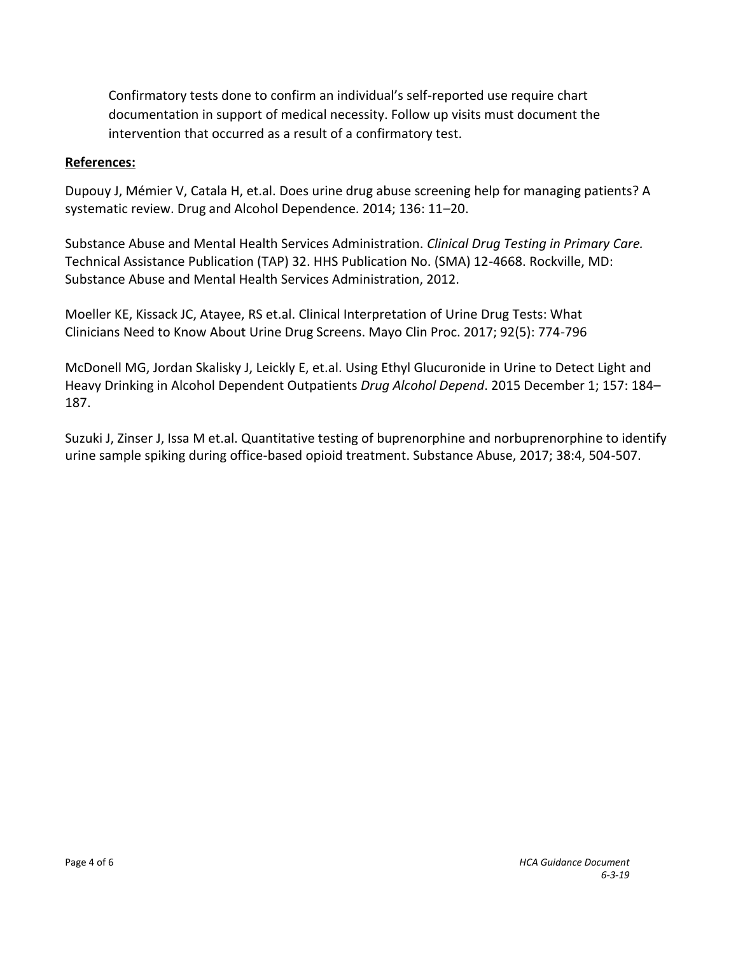Confirmatory tests done to confirm an individual's self-reported use require chart documentation in support of medical necessity. Follow up visits must document the intervention that occurred as a result of a confirmatory test.

## **References:**

Dupouy J, Mémier V, Catala H, et.al. Does urine drug abuse screening help for managing patients? A systematic review. Drug and Alcohol Dependence. 2014; 136: 11–20.

Substance Abuse and Mental Health Services Administration. *Clinical Drug Testing in Primary Care.*  Technical Assistance Publication (TAP) 32. HHS Publication No. (SMA) 12-4668. Rockville, MD: Substance Abuse and Mental Health Services Administration, 2012.

Moeller KE, Kissack JC, Atayee, RS et.al. Clinical Interpretation of Urine Drug Tests: What Clinicians Need to Know About Urine Drug Screens. Mayo Clin Proc. 2017; 92(5): 774-796

McDonell MG, Jordan Skalisky J, Leickly E, et.al. Using Ethyl Glucuronide in Urine to Detect Light and Heavy Drinking in Alcohol Dependent Outpatients *Drug Alcohol Depend*. 2015 December 1; 157: 184– 187.

Suzuki J, Zinser J, Issa M et.al. Quantitative testing of buprenorphine and norbuprenorphine to identify urine sample spiking during office-based opioid treatment. Substance Abuse, 2017; 38:4, 504-507.